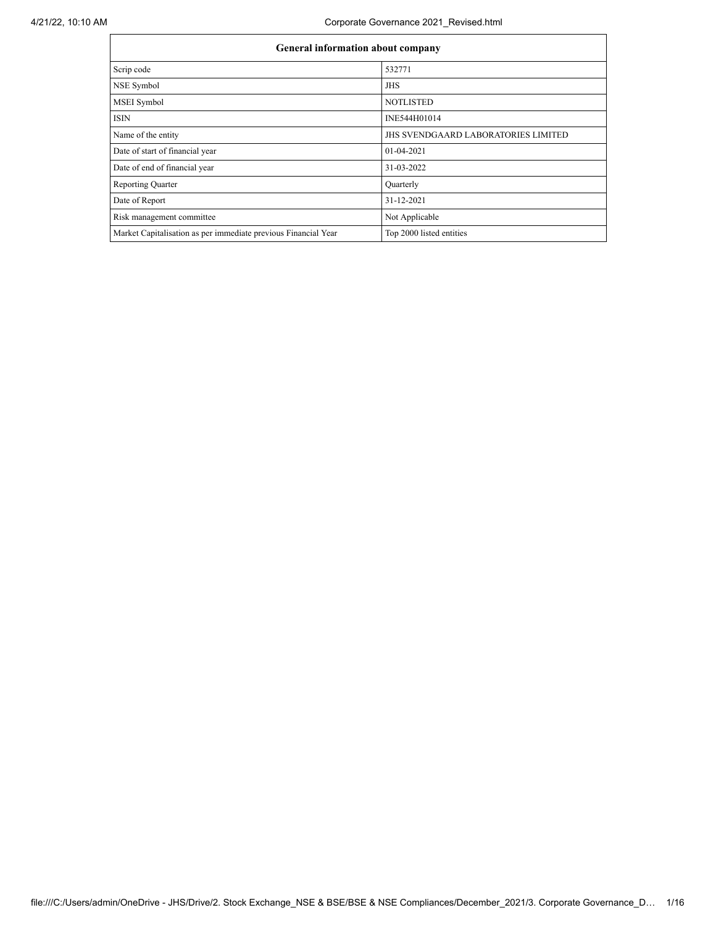$\mathbf{r}$ 

| General information about company                              |                                            |  |  |  |  |  |
|----------------------------------------------------------------|--------------------------------------------|--|--|--|--|--|
| Scrip code                                                     | 532771                                     |  |  |  |  |  |
| NSE Symbol                                                     | <b>JHS</b>                                 |  |  |  |  |  |
| MSEI Symbol                                                    | <b>NOTLISTED</b>                           |  |  |  |  |  |
| <b>ISIN</b>                                                    | INE544H01014                               |  |  |  |  |  |
| Name of the entity                                             | <b>JHS SVENDGAARD LABORATORIES LIMITED</b> |  |  |  |  |  |
| Date of start of financial year                                | $01-04-2021$                               |  |  |  |  |  |
| Date of end of financial year                                  | 31-03-2022                                 |  |  |  |  |  |
| <b>Reporting Quarter</b>                                       | Quarterly                                  |  |  |  |  |  |
| Date of Report                                                 | 31-12-2021                                 |  |  |  |  |  |
| Risk management committee                                      | Not Applicable                             |  |  |  |  |  |
| Market Capitalisation as per immediate previous Financial Year | Top 2000 listed entities                   |  |  |  |  |  |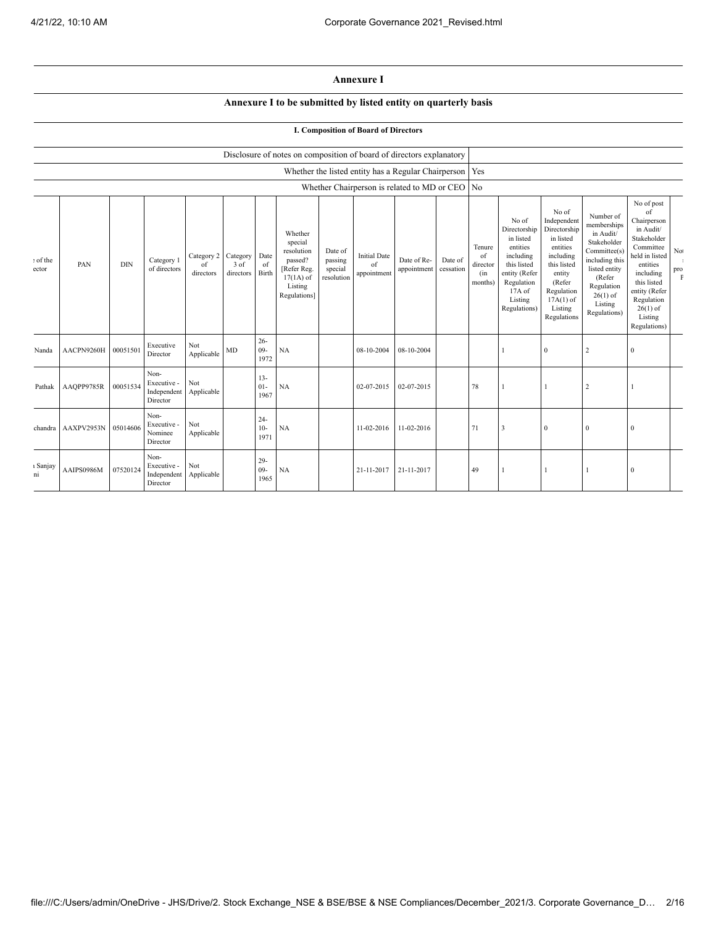## **Annexure I**

## **Annexure I to be submitted by listed entity on quarterly basis**

## **I. Composition of Board of Directors**

|                   |                    |            |                                                |                               |                               |                          | Disclosure of notes on composition of board of directors explanatory                                 |                                             |                                          |                                                           |                      |                                            |                                                                                                                                                  |                                                                                                                                                                      |                                                                                                                                                                          |                                                                                                                                                                                                            |                                    |
|-------------------|--------------------|------------|------------------------------------------------|-------------------------------|-------------------------------|--------------------------|------------------------------------------------------------------------------------------------------|---------------------------------------------|------------------------------------------|-----------------------------------------------------------|----------------------|--------------------------------------------|--------------------------------------------------------------------------------------------------------------------------------------------------|----------------------------------------------------------------------------------------------------------------------------------------------------------------------|--------------------------------------------------------------------------------------------------------------------------------------------------------------------------|------------------------------------------------------------------------------------------------------------------------------------------------------------------------------------------------------------|------------------------------------|
|                   |                    |            |                                                |                               |                               |                          |                                                                                                      |                                             |                                          | Whether the listed entity has a Regular Chairperson   Yes |                      |                                            |                                                                                                                                                  |                                                                                                                                                                      |                                                                                                                                                                          |                                                                                                                                                                                                            |                                    |
|                   |                    |            |                                                |                               |                               |                          |                                                                                                      |                                             |                                          | Whether Chairperson is related to MD or CEO No            |                      |                                            |                                                                                                                                                  |                                                                                                                                                                      |                                                                                                                                                                          |                                                                                                                                                                                                            |                                    |
| : of the<br>ector | PAN                | <b>DIN</b> | Category 1<br>of directors                     | Category 2<br>of<br>directors | Category<br>3 of<br>directors | Date<br>of<br>Birth      | Whether<br>special<br>resolution<br>passed?<br>[Refer Reg.<br>$17(1A)$ of<br>Listing<br>Regulations] | Date of<br>passing<br>special<br>resolution | <b>Initial Date</b><br>of<br>appointment | Date of Re-<br>appointment                                | Date of<br>cessation | Tenure<br>of<br>director<br>(in<br>months) | No of<br>Directorship<br>in listed<br>entities<br>including<br>this listed<br>entity (Refer<br>Regulation<br>$17A$ of<br>Listing<br>Regulations) | No of<br>Independent<br>Directorship<br>in listed<br>entities<br>including<br>this listed<br>entity<br>(Refer<br>Regulation<br>$17A(1)$ of<br>Listing<br>Regulations | Number of<br>memberships<br>in Audit/<br>Stakeholder<br>Committee(s)<br>including this<br>listed entity<br>(Refer<br>Regulation<br>$26(1)$ of<br>Listing<br>Regulations) | No of post<br>of<br>Chairperson<br>in Audit/<br>Stakeholder<br>Committee<br>held in listed<br>entities<br>including<br>this listed<br>entity (Refer<br>Regulation<br>$26(1)$ of<br>Listing<br>Regulations) | $\rm No$<br>$_{\rm pro}^{\rm pro}$ |
| Nanda             | AACPN9260H         | 00051501   | Executive<br>Director                          | Not<br>Applicable             | MD                            | $26 -$<br>$09 -$<br>1972 | <b>NA</b>                                                                                            |                                             | 08-10-2004                               | 08-10-2004                                                |                      |                                            |                                                                                                                                                  | $\mathbf{0}$                                                                                                                                                         | $\overline{c}$                                                                                                                                                           | $\mathbf{0}$                                                                                                                                                                                               |                                    |
| Pathak            | AAQPP9785R         | 00051534   | Non-<br>Executive -<br>Independent<br>Director | Not<br>Applicable             |                               | $13 -$<br>$01 -$<br>1967 | <b>NA</b>                                                                                            |                                             | 02-07-2015                               | 02-07-2015                                                |                      | 78                                         |                                                                                                                                                  |                                                                                                                                                                      | 2                                                                                                                                                                        |                                                                                                                                                                                                            |                                    |
|                   | chandra AAXPV2953N | 05014606   | Non-<br>Executive -<br>Nominee<br>Director     | Not<br>Applicable             |                               | $24 -$<br>$10-$<br>1971  | <b>NA</b>                                                                                            |                                             | 11-02-2016                               | 11-02-2016                                                |                      | 71                                         | 3                                                                                                                                                | $\mathbf{0}$                                                                                                                                                         | $\mathbf{0}$                                                                                                                                                             | $\bf{0}$                                                                                                                                                                                                   |                                    |
| ı Sanjay<br>ni    | AAIPS0986M         | 07520124   | Non-<br>Executive -<br>Independent<br>Director | Not<br>Applicable             |                               | $29 -$<br>$09 -$<br>1965 | NA                                                                                                   |                                             | 21-11-2017                               | 21-11-2017                                                |                      | 49                                         |                                                                                                                                                  |                                                                                                                                                                      |                                                                                                                                                                          | $\mathbf{0}$                                                                                                                                                                                               |                                    |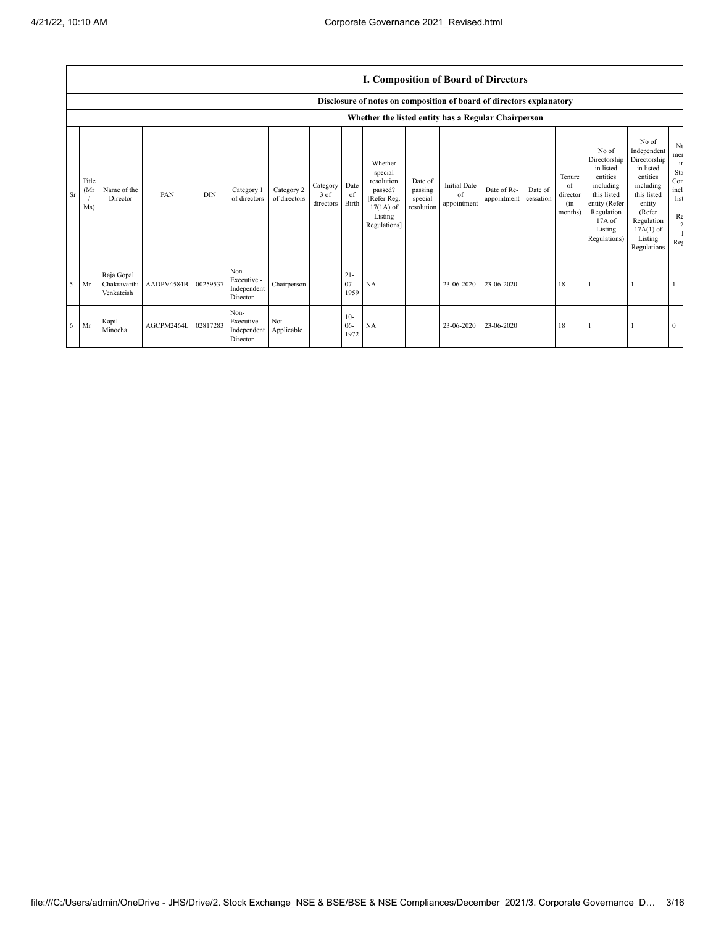## **I. Composition of Board of Directors**

|           |                     | Disclosure of notes on composition of board of directors explanatory |            |            |                                                           |                            |                               |                          |                                                                                                      |                                             |                                          |                            |                      |                                            |                                                                                                                                                |                                                                                                                                                                      |                                                                 |
|-----------|---------------------|----------------------------------------------------------------------|------------|------------|-----------------------------------------------------------|----------------------------|-------------------------------|--------------------------|------------------------------------------------------------------------------------------------------|---------------------------------------------|------------------------------------------|----------------------------|----------------------|--------------------------------------------|------------------------------------------------------------------------------------------------------------------------------------------------|----------------------------------------------------------------------------------------------------------------------------------------------------------------------|-----------------------------------------------------------------|
|           |                     |                                                                      |            |            |                                                           |                            |                               |                          | Whether the listed entity has a Regular Chairperson                                                  |                                             |                                          |                            |                      |                                            |                                                                                                                                                |                                                                                                                                                                      |                                                                 |
| <b>Sr</b> | Title<br>(Mr<br>Ms) | Name of the<br>Director                                              | PAN        | <b>DIN</b> | Category 1<br>of directors                                | Category 2<br>of directors | Category<br>3 of<br>directors | Date<br>of<br>Birth      | Whether<br>special<br>resolution<br>passed?<br>[Refer Reg.<br>$17(1A)$ of<br>Listing<br>Regulations] | Date of<br>passing<br>special<br>resolution | <b>Initial Date</b><br>of<br>appointment | Date of Re-<br>appointment | Date of<br>cessation | Tenure<br>of<br>director<br>(in<br>months) | No of<br>Directorship<br>in listed<br>entities<br>including<br>this listed<br>entity (Refer<br>Regulation<br>17A of<br>Listing<br>Regulations) | No of<br>Independent<br>Directorship<br>in listed<br>entities<br>including<br>this listed<br>entity<br>(Refer<br>Regulation<br>$17A(1)$ of<br>Listing<br>Regulations | Nι<br>mer<br>ir<br>Sta<br>Con<br>incl<br>list<br>Re<br>2<br>Reg |
| $5$ Mr    |                     | Raja Gopal<br>Chakravarthi<br>Venkateish                             | AADPV4584B | 00259537   | Non-<br>Executive -<br>Independent<br>Director            | Chairperson                |                               | $21 -$<br>$07 -$<br>1959 | NA                                                                                                   |                                             | 23-06-2020                               | 23-06-2020                 |                      | 18                                         |                                                                                                                                                |                                                                                                                                                                      |                                                                 |
| $6$ Mr    |                     | Kapil<br>Minocha                                                     | AGCPM2464L | 02817283   | Non-<br>Executive -<br>Independent Applicable<br>Director | Not                        |                               | $10-$<br>$06 -$<br>1972  | NA                                                                                                   |                                             | 23-06-2020                               | 23-06-2020                 |                      | 18                                         |                                                                                                                                                |                                                                                                                                                                      | $\mathbf{0}$                                                    |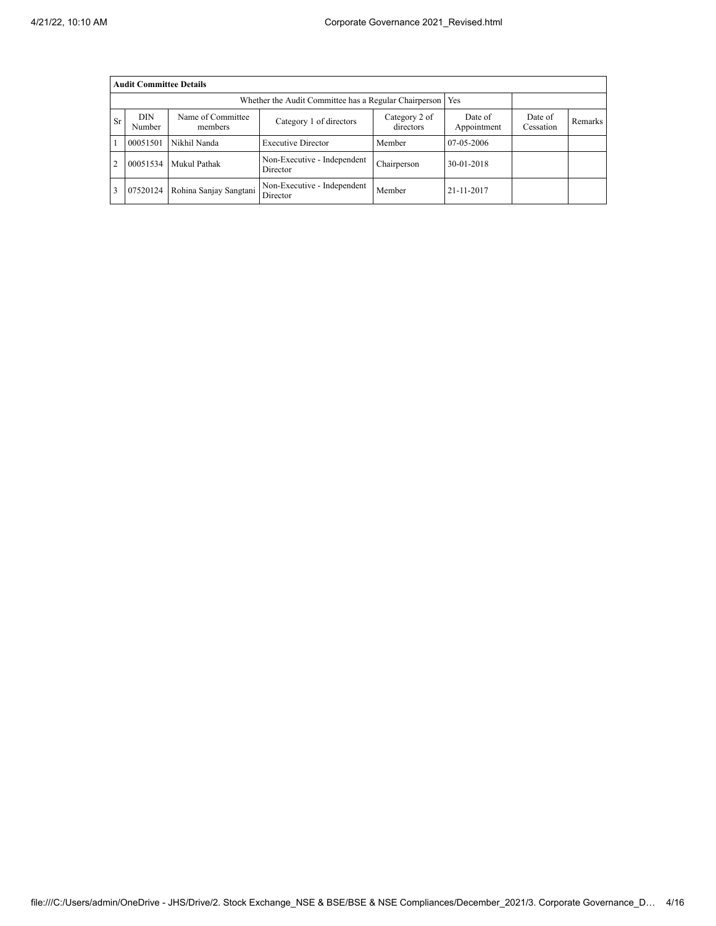|                | <b>Audit Committee Details</b>                                                  |                        |                                                       |                        |                      |         |  |  |  |
|----------------|---------------------------------------------------------------------------------|------------------------|-------------------------------------------------------|------------------------|----------------------|---------|--|--|--|
|                |                                                                                 |                        | Whether the Audit Committee has a Regular Chairperson |                        | Yes                  |         |  |  |  |
| <b>Sr</b>      | <b>DIN</b><br>Name of Committee<br>Category 1 of directors<br>Number<br>members |                        | Category 2 of<br>directors                            | Date of<br>Appointment | Date of<br>Cessation | Remarks |  |  |  |
|                | 00051501                                                                        | Nikhil Nanda           | <b>Executive Director</b>                             | Member                 | 07-05-2006           |         |  |  |  |
| $\overline{2}$ | 00051534                                                                        | Mukul Pathak           | Non-Executive - Independent<br>Director               | Chairperson            | 30-01-2018           |         |  |  |  |
| 3              | 07520124                                                                        | Rohina Sanjay Sangtani | Non-Executive - Independent<br>Director               | Member                 | 21-11-2017           |         |  |  |  |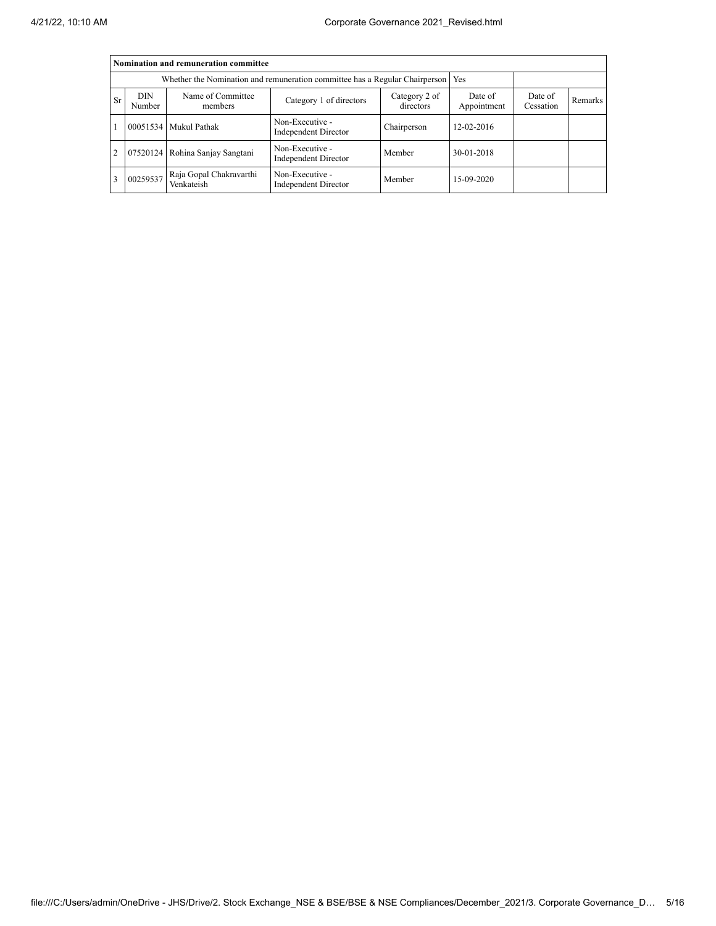|                | Nomination and remuneration committee |                                       |                                                                                   |             |                        |                      |         |  |
|----------------|---------------------------------------|---------------------------------------|-----------------------------------------------------------------------------------|-------------|------------------------|----------------------|---------|--|
|                |                                       |                                       | Whether the Nomination and remuneration committee has a Regular Chairperson   Yes |             |                        |                      |         |  |
| Sr             | <b>DIN</b><br>Number                  | Name of Committee<br>members          | Category 2 of<br>Category 1 of directors<br>directors                             |             | Date of<br>Appointment | Date of<br>Cessation | Remarks |  |
|                |                                       | 00051534 Mukul Pathak                 | Non-Executive -<br>Independent Director                                           | Chairperson | 12-02-2016             |                      |         |  |
| $\overline{2}$ |                                       | 07520124 Rohina Sanjay Sangtani       | Non-Executive -<br>Independent Director                                           | Member      | 30-01-2018             |                      |         |  |
| 3              | 00259537                              | Raja Gopal Chakravarthi<br>Venkateish | Non-Executive -<br>Independent Director                                           | Member      | 15-09-2020             |                      |         |  |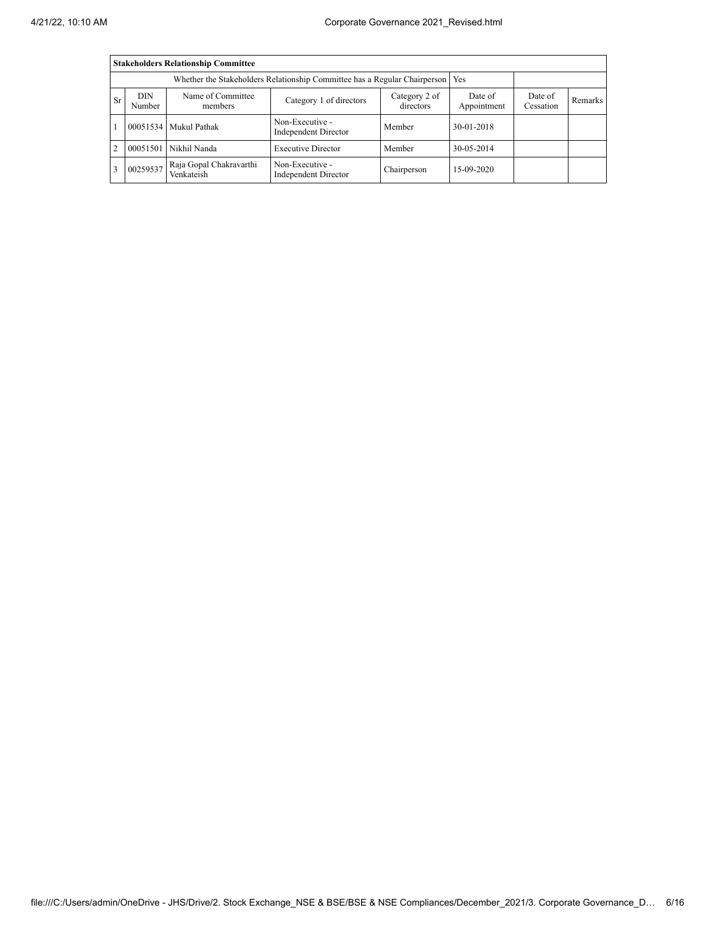|                | <b>Stakeholders Relationship Committee</b>                                      |                                       |                                                |                        |                      |         |  |  |
|----------------|---------------------------------------------------------------------------------|---------------------------------------|------------------------------------------------|------------------------|----------------------|---------|--|--|
|                | Whether the Stakeholders Relationship Committee has a Regular Chairperson   Yes |                                       |                                                |                        |                      |         |  |  |
| Sr             | <b>DIN</b><br>Name of Committee<br>Category 1 of directors<br>Number<br>members |                                       | Category 2 of<br>directors                     | Date of<br>Appointment | Date of<br>Cessation | Remarks |  |  |
|                |                                                                                 | 00051534 Mukul Pathak                 | Non-Executive -<br>Independent Director        | Member                 | 30-01-2018           |         |  |  |
| $\overline{c}$ |                                                                                 | 00051501 Nikhil Nanda                 | <b>Executive Director</b>                      | Member                 | 30-05-2014           |         |  |  |
| 3              | 00259537                                                                        | Raja Gopal Chakravarthi<br>Venkateish | Non-Executive -<br><b>Independent Director</b> | Chairperson            | 15-09-2020           |         |  |  |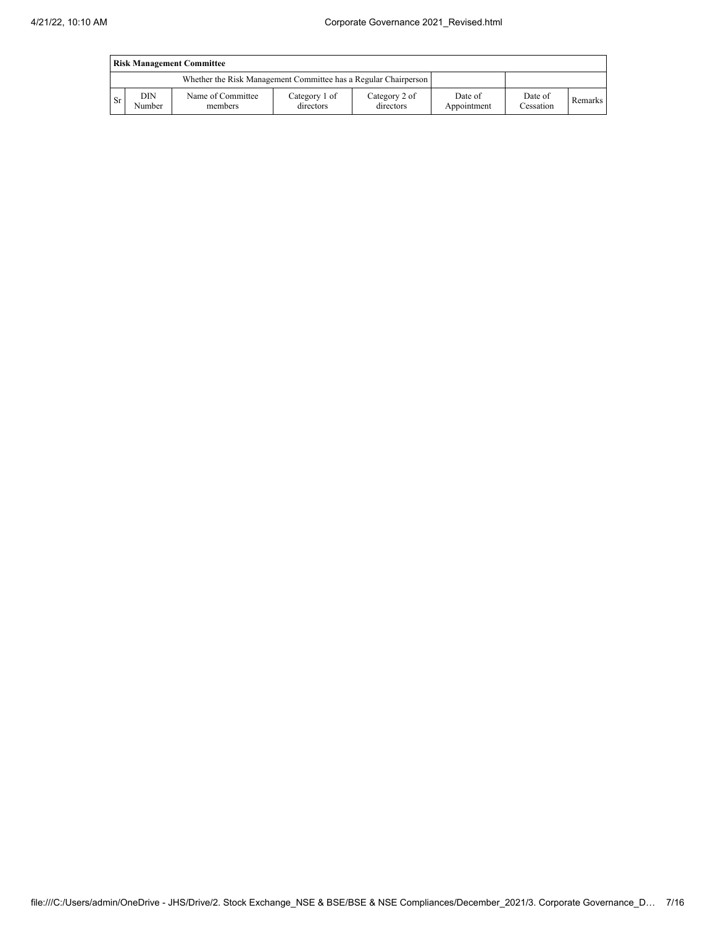| <b>Risk Management Committee</b> |               |                                                                 |                            |                            |                        |                      |                |
|----------------------------------|---------------|-----------------------------------------------------------------|----------------------------|----------------------------|------------------------|----------------------|----------------|
|                                  |               | Whether the Risk Management Committee has a Regular Chairperson |                            |                            |                        |                      |                |
| <b>Sr</b>                        | DIN<br>Number | Name of Committee<br>members                                    | Category 1 of<br>directors | Category 2 of<br>directors | Date of<br>Appointment | Date of<br>Cessation | <b>Remarks</b> |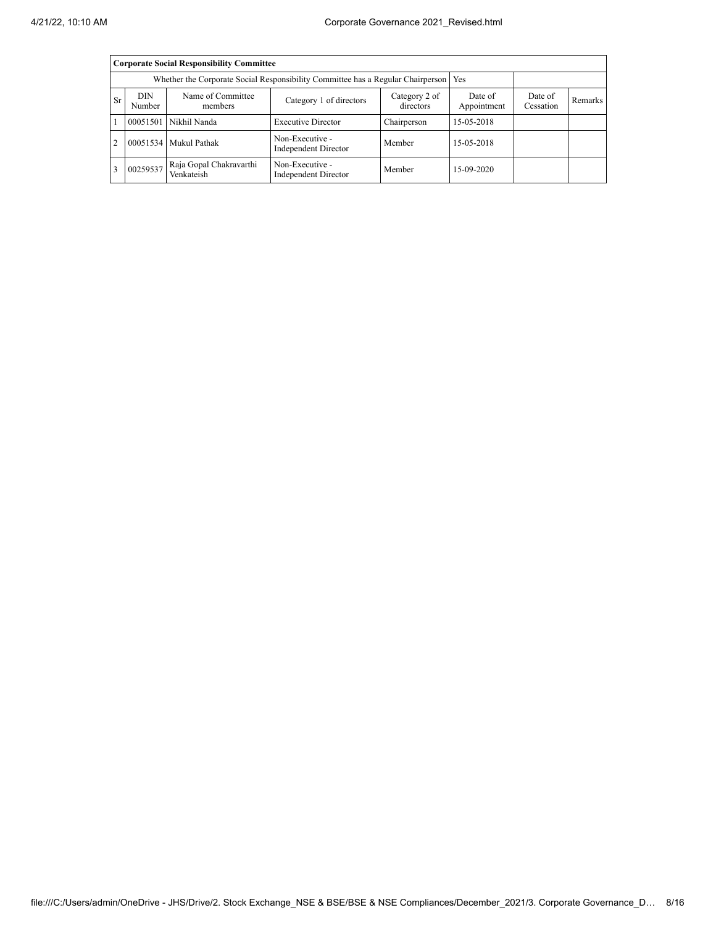|                | <b>Corporate Social Responsibility Committee</b>                               |                                       |                                                                                       |                        |                      |         |  |  |
|----------------|--------------------------------------------------------------------------------|---------------------------------------|---------------------------------------------------------------------------------------|------------------------|----------------------|---------|--|--|
|                |                                                                                |                                       | Whether the Corporate Social Responsibility Committee has a Regular Chairperson   Yes |                        |                      |         |  |  |
|                | DIN<br>Name of Committee<br>Sr<br>Category 1 of directors<br>Number<br>members |                                       | Category 2 of<br>directors                                                            | Date of<br>Appointment | Date of<br>Cessation | Remarks |  |  |
|                |                                                                                | 00051501 Nikhil Nanda                 | <b>Executive Director</b>                                                             | Chairperson            | 15-05-2018           |         |  |  |
| $\overline{2}$ |                                                                                | 00051534 Mukul Pathak                 | Non-Executive -<br>Independent Director                                               | Member                 | 15-05-2018           |         |  |  |
| $\overline{3}$ | 00259537                                                                       | Raja Gopal Chakravarthi<br>Venkateish | Non-Executive -<br><b>Independent Director</b>                                        | Member                 | 15-09-2020           |         |  |  |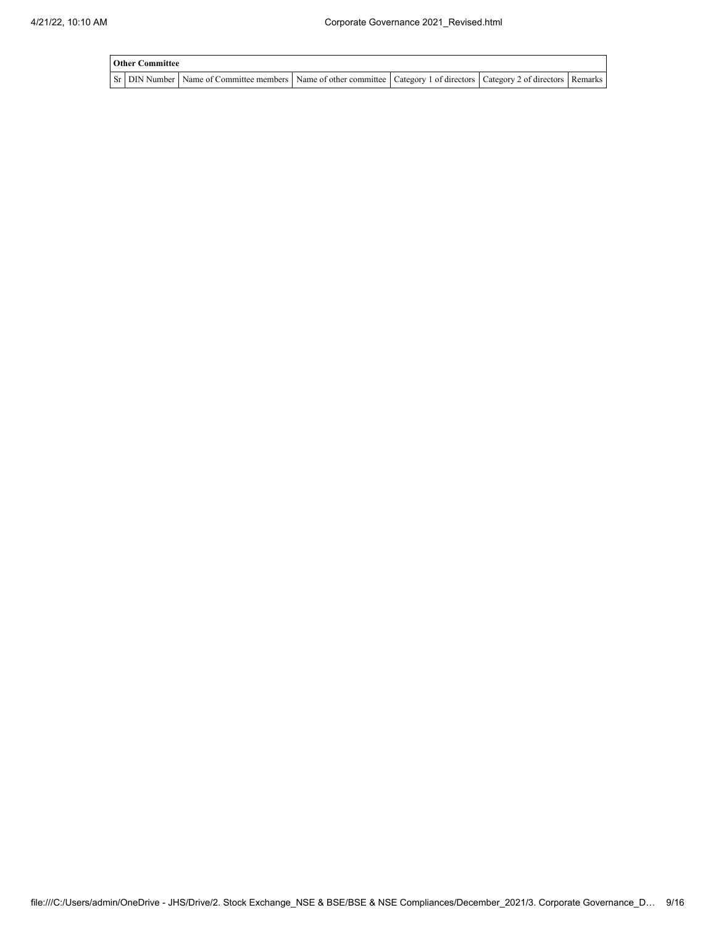| <b>Other Committee</b> |                                                                                                                         |  |  |
|------------------------|-------------------------------------------------------------------------------------------------------------------------|--|--|
|                        | Sr DIN Number Name of Committee members Name of other committee Category 1 of directors Category 2 of directors Remarks |  |  |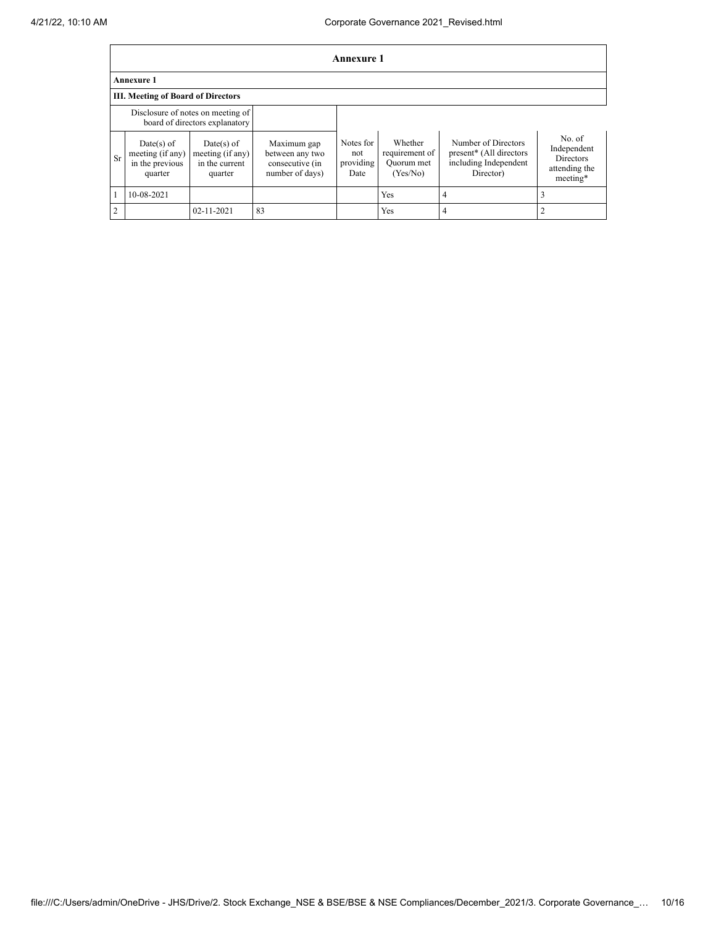|                | <b>Annexure 1</b>                                              |                                                                     |                                                                      |                                       |                                                     |                                                                                      |                                                                        |
|----------------|----------------------------------------------------------------|---------------------------------------------------------------------|----------------------------------------------------------------------|---------------------------------------|-----------------------------------------------------|--------------------------------------------------------------------------------------|------------------------------------------------------------------------|
|                | <b>Annexure 1</b>                                              |                                                                     |                                                                      |                                       |                                                     |                                                                                      |                                                                        |
|                | <b>III. Meeting of Board of Directors</b>                      |                                                                     |                                                                      |                                       |                                                     |                                                                                      |                                                                        |
|                |                                                                | Disclosure of notes on meeting of<br>board of directors explanatory |                                                                      |                                       |                                                     |                                                                                      |                                                                        |
| Sr             | $Date(s)$ of<br>meeting (if any)<br>in the previous<br>quarter | $Date(s)$ of<br>meeting (if any)<br>in the current<br>quarter       | Maximum gap<br>between any two<br>consecutive (in<br>number of days) | Notes for<br>not<br>providing<br>Date | Whether<br>requirement of<br>Quorum met<br>(Yes/No) | Number of Directors<br>present* (All directors<br>including Independent<br>Director) | No. of<br>Independent<br><b>Directors</b><br>attending the<br>meeting* |
|                | 10-08-2021                                                     |                                                                     |                                                                      |                                       | <b>Yes</b>                                          | 4                                                                                    |                                                                        |
| $\overline{2}$ |                                                                | 02-11-2021                                                          | 83                                                                   |                                       | Yes                                                 | 4                                                                                    |                                                                        |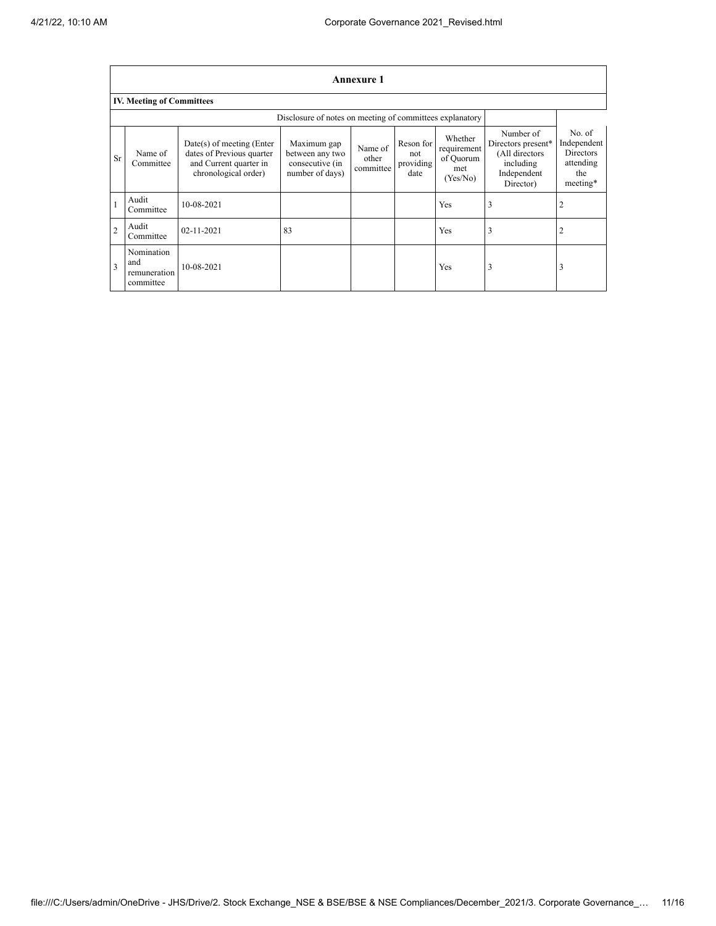|                | <b>Annexure 1</b>                              |                                                                                                            |                                                                      |                               |                                       |                                                        |                                                                                            |                                                                           |
|----------------|------------------------------------------------|------------------------------------------------------------------------------------------------------------|----------------------------------------------------------------------|-------------------------------|---------------------------------------|--------------------------------------------------------|--------------------------------------------------------------------------------------------|---------------------------------------------------------------------------|
|                | <b>IV. Meeting of Committees</b>               |                                                                                                            |                                                                      |                               |                                       |                                                        |                                                                                            |                                                                           |
|                |                                                |                                                                                                            | Disclosure of notes on meeting of committees explanatory             |                               |                                       |                                                        |                                                                                            |                                                                           |
| Sr             | Name of<br>Committee                           | $Date(s)$ of meeting (Enter<br>dates of Previous quarter<br>and Current quarter in<br>chronological order) | Maximum gap<br>between any two<br>consecutive (in<br>number of days) | Name of<br>other<br>committee | Reson for<br>not<br>providing<br>date | Whether<br>requirement<br>of Quorum<br>met<br>(Yes/No) | Number of<br>Directors present*<br>(All directors<br>including<br>Independent<br>Director) | No. of<br>Independent<br><b>Directors</b><br>attending<br>the<br>meeting* |
|                | Audit<br>Committee                             | 10-08-2021                                                                                                 |                                                                      |                               |                                       | Yes                                                    | 3                                                                                          |                                                                           |
| $\overline{2}$ | Audit<br>Committee                             | 02-11-2021                                                                                                 | 83                                                                   |                               |                                       | Yes                                                    | 3                                                                                          |                                                                           |
| $\overline{3}$ | Nomination<br>and<br>remuneration<br>committee | 10-08-2021                                                                                                 |                                                                      |                               |                                       | Yes                                                    | 3                                                                                          | 3                                                                         |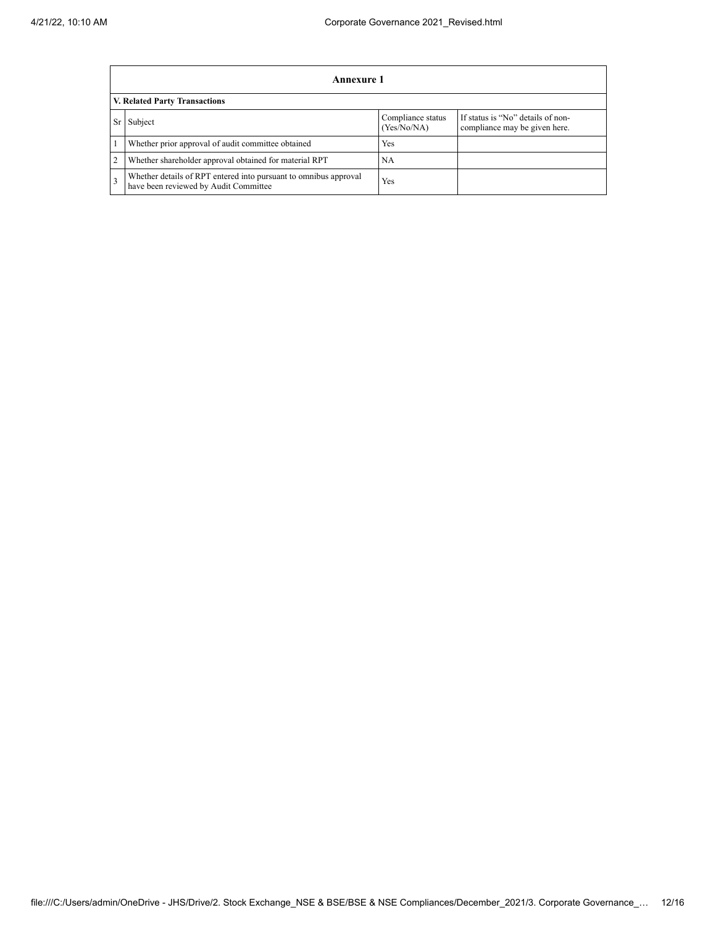|    | <b>Annexure 1</b>                                                                                         |                                  |                                                                    |  |  |  |  |
|----|-----------------------------------------------------------------------------------------------------------|----------------------------------|--------------------------------------------------------------------|--|--|--|--|
|    | V. Related Party Transactions                                                                             |                                  |                                                                    |  |  |  |  |
| Sr | Subject                                                                                                   | Compliance status<br>(Yes/No/NA) | If status is "No" details of non-<br>compliance may be given here. |  |  |  |  |
|    | Whether prior approval of audit committee obtained                                                        | <b>Yes</b>                       |                                                                    |  |  |  |  |
| 2  | Whether shareholder approval obtained for material RPT                                                    | NA                               |                                                                    |  |  |  |  |
| 3  | Whether details of RPT entered into pursuant to omnibus approval<br>have been reviewed by Audit Committee | Yes                              |                                                                    |  |  |  |  |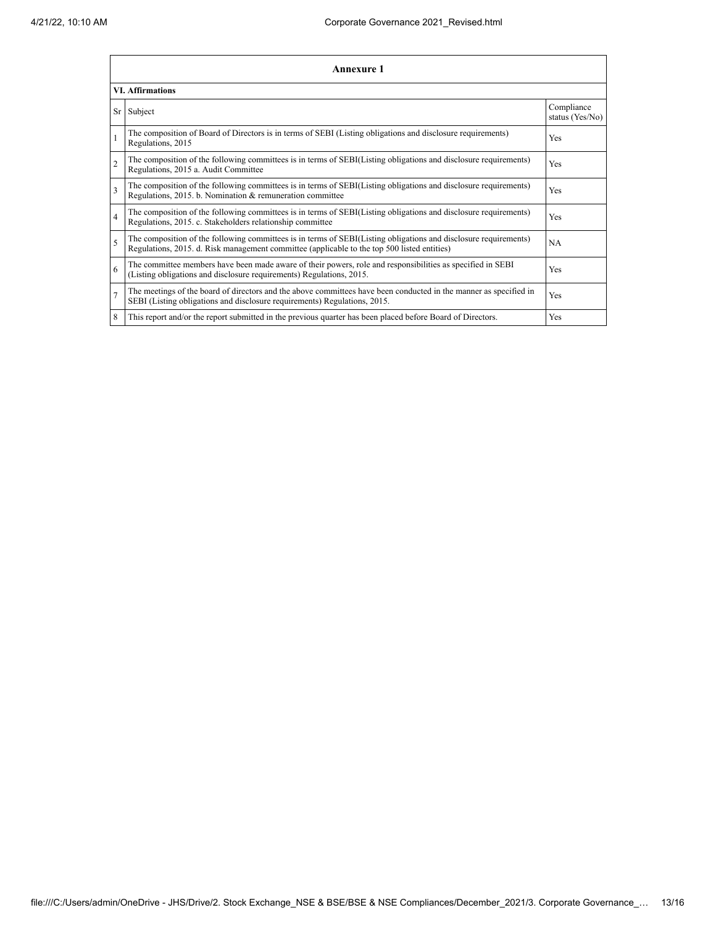|                          | <b>Annexure 1</b>                                                                                                                                                                                               |                               |  |  |  |
|--------------------------|-----------------------------------------------------------------------------------------------------------------------------------------------------------------------------------------------------------------|-------------------------------|--|--|--|
| <b>VI. Affirmations</b>  |                                                                                                                                                                                                                 |                               |  |  |  |
| Sr                       | Subject                                                                                                                                                                                                         | Compliance<br>status (Yes/No) |  |  |  |
| $\mathbf{1}$             | The composition of Board of Directors is in terms of SEBI (Listing obligations and disclosure requirements)<br>Regulations, 2015                                                                                | Yes                           |  |  |  |
| $\overline{2}$           | The composition of the following committees is in terms of SEBI(Listing obligations and disclosure requirements)<br>Regulations, 2015 a. Audit Committee                                                        | <b>Yes</b>                    |  |  |  |
| 3                        | The composition of the following committees is in terms of SEBI(Listing obligations and disclosure requirements)<br>Regulations, 2015. b. Nomination & remuneration committee                                   | Yes                           |  |  |  |
| $\overline{4}$           | The composition of the following committees is in terms of SEBI(Listing obligations and disclosure requirements)<br>Regulations, 2015. c. Stakeholders relationship committee                                   | Yes                           |  |  |  |
| $\overline{\phantom{0}}$ | The composition of the following committees is in terms of SEBI(Listing obligations and disclosure requirements)<br>Regulations, 2015. d. Risk management committee (applicable to the top 500 listed entities) | <b>NA</b>                     |  |  |  |
| 6                        | The committee members have been made aware of their powers, role and responsibilities as specified in SEBI<br>(Listing obligations and disclosure requirements) Regulations, 2015.                              | Yes                           |  |  |  |
| $\overline{7}$           | The meetings of the board of directors and the above committees have been conducted in the manner as specified in<br>SEBI (Listing obligations and disclosure requirements) Regulations, 2015.                  | Yes                           |  |  |  |
| 8                        | This report and/or the report submitted in the previous quarter has been placed before Board of Directors.                                                                                                      | <b>Yes</b>                    |  |  |  |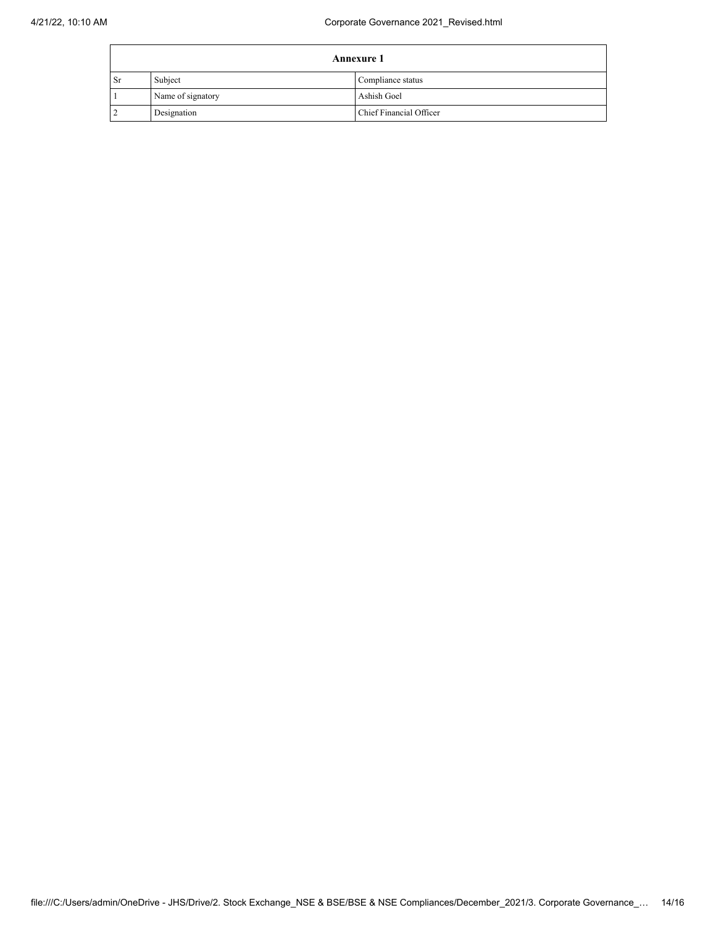| <b>Annexure 1</b> |                   |                         |
|-------------------|-------------------|-------------------------|
| Sr                | Subject           | Compliance status       |
|                   | Name of signatory | Ashish Goel             |
| ∸                 | Designation       | Chief Financial Officer |